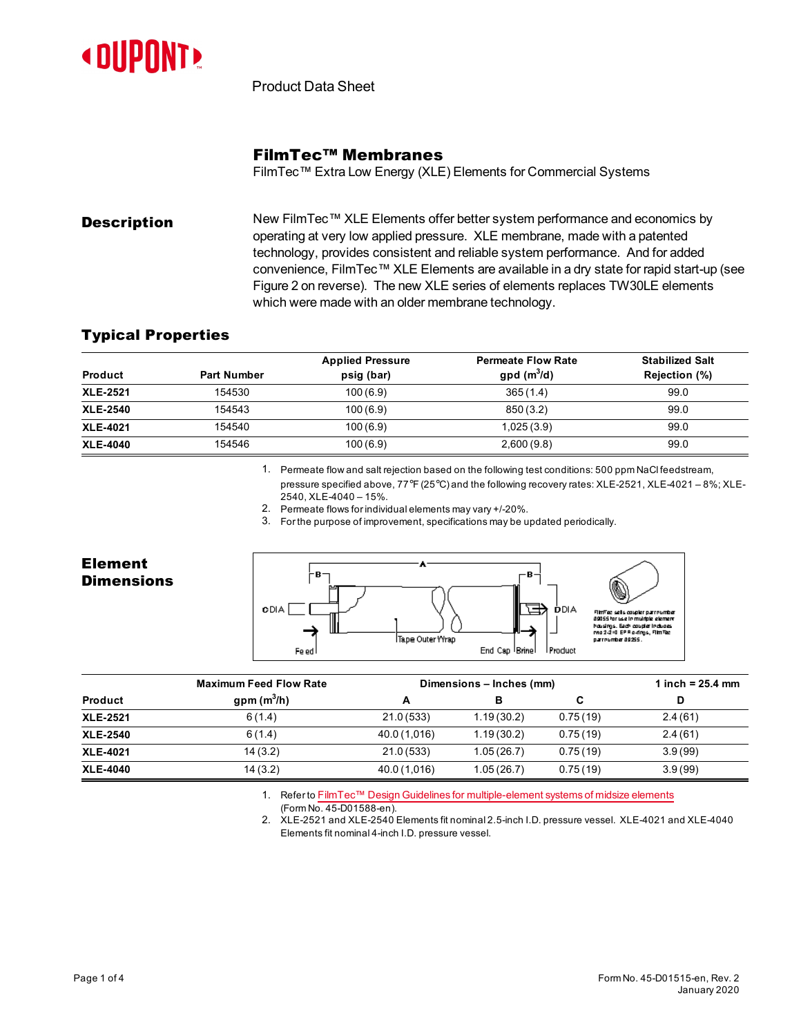

Product Data Sheet

### FilmTec™ Membranes

FilmTec™ Extra Low Energy (XLE) Elements for Commercial Systems

**Description** New FilmTec™ XLE Elements offer better system performance and economics by operating at very low applied pressure. XLE membrane, made with a patented technology, provides consistent and reliable system performance. And for added convenience, FilmTec™ XLE Elements are available in a dry state for rapid start-up (see [Figure](#page-1-0) 2 on reverse). The new XLE series of elements replaces TW30LE elements which were made with an older membrane technology.

### Typical Properties

|                 |                    | <b>Applied Pressure</b> | <b>Permeate Flow Rate</b> | <b>Stabilized Salt</b> |
|-----------------|--------------------|-------------------------|---------------------------|------------------------|
| <b>Product</b>  | <b>Part Number</b> | psig (bar)              | $gpd(m^3/d)$              | Rejection (%)          |
| <b>XLE-2521</b> | 154530             | 100(6.9)                | 365(1.4)                  | 99.0                   |
| <b>XLE-2540</b> | 154543             | 100(6.9)                | 850(3.2)                  | 99.0                   |
| <b>XLE-4021</b> | 154540             | 100(6.9)                | 1,025(3.9)                | 99.0                   |
| <b>XLE-4040</b> | 154546             | 100(6.9)                | 2,600(9.8)                | 99.0                   |

1. Permeate flow and salt rejection based on the following test conditions: 500 ppm NaCl feedstream, pressure specified above, 77°F (25°C) and the following recovery rates: XLE-2521, XLE-4021 – 8%; XLE-2540, XLE-4040 – 15%.

2. Permeate flows for individualelements may vary +/-20%.

3. For the purpose of improvement, specifications maybe updated periodically.



|                 | <b>Maximum Feed Flow Rate</b> | Dimensions - Inches (mm) |            |          | 1 inch = $25.4 \text{ mm}$ |  |
|-----------------|-------------------------------|--------------------------|------------|----------|----------------------------|--|
| <b>Product</b>  | gpm $(m^3/h)$                 | А                        |            | С        |                            |  |
| <b>XLE-2521</b> | 6(1.4)                        | 21.0(533)                | 1.19(30.2) | 0.75(19) | 2.4(61)                    |  |
| <b>XLE-2540</b> | 6(1.4)                        | 40.0 (1,016)             | 1.19(30.2) | 0.75(19) | 2.4(61)                    |  |
| <b>XLE-4021</b> | 14(3.2)                       | 21.0(533)                | 1.05(26.7) | 0.75(19) | 3.9(99)                    |  |
| <b>XLE-4040</b> | 14(3.2)                       | 40.0 (1,016)             | 1.05(26.7) | 0.75(19) | 3.9(99)                    |  |

1. Refer to FilmTec™ Design Guidelines for [multiple-element](https://www.dupont.com/content/dam/dupont/amer/us/en/water-solutions/public/documents/en/45-D01588-en.pdf) systems of midsize elements

(Form No. 45-D01588-en).

2. XLE-2521 and XLE-2540 Elements fit nominal2.5-inch I.D. pressure vessel. XLE-4021 and XLE-4040 Elements fit nominal4-inch I.D. pressure vessel.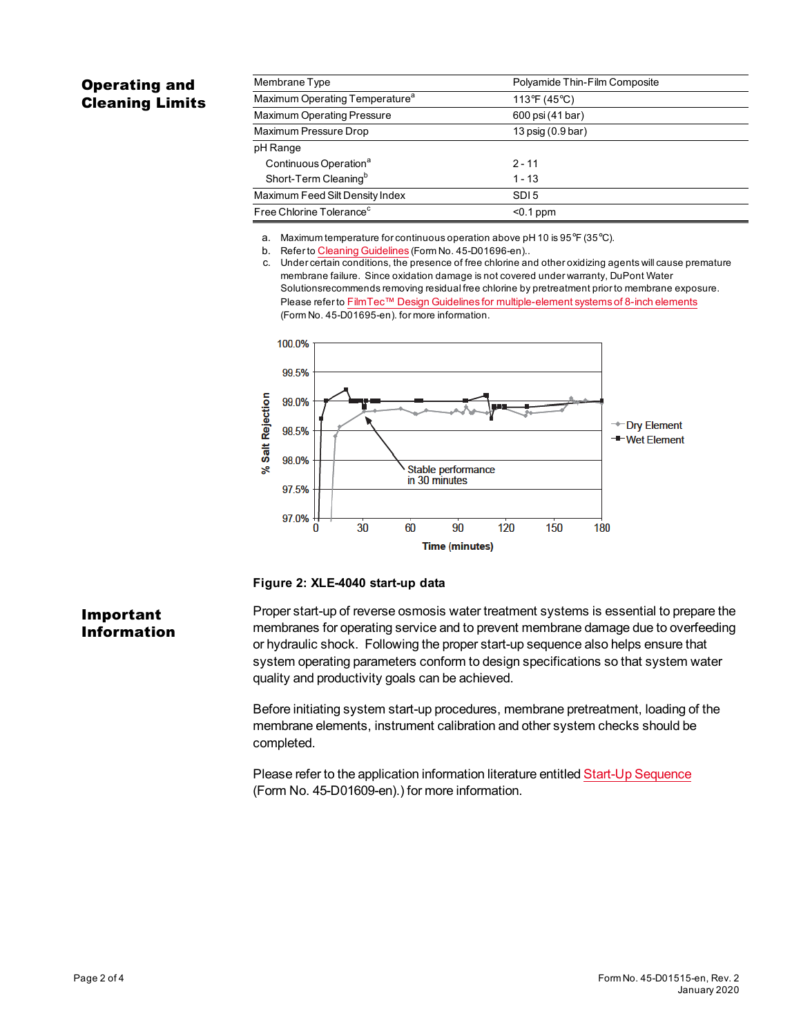# Operating and Cleaning Limits

| Membrane Type                              | Polyamide Thin-Film Composite |  |  |
|--------------------------------------------|-------------------------------|--|--|
| Maximum Operating Temperature <sup>a</sup> | 113°F (45°C)                  |  |  |
| <b>Maximum Operating Pressure</b>          | 600 psi (41 bar)              |  |  |
| Maximum Pressure Drop                      | 13 psig (0.9 bar)             |  |  |
| pH Range                                   |                               |  |  |
| Continuous Operation <sup>a</sup>          | $2 - 11$                      |  |  |
| Short-Term Cleaning <sup>b</sup>           | $1 - 13$                      |  |  |
| Maximum Feed Silt Density Index            | SDI <sub>5</sub>              |  |  |
| Free Chlorine Tolerance <sup>c</sup>       | $0.1$ ppm                     |  |  |

a. Maximum temperature for continuous operation above pH 10 is  $95^{\circ}F$  (35 $^{\circ}C$ ).

b. Refer to Cleaning [Guidelines](https://www.dupont.com/content/dam/dupont/amer/us/en/water-solutions/public/documents/en/45-D01696-en.pdf) (Form No. 45-D01696-en)..

c. Under certain conditions, the presence of free chlorine and otheroxidizing agents will cause premature membrane failure. Since oxidation damage isnot covered under warranty, DuPont Water Solutionsrecommends removing residual free chlorine bypretreatment prior to membrane exposure. Please refer to FilmTec™ Design Guidelines for [multiple-element](https://www.dupont.com/content/dam/dupont/amer/us/en/water-solutions/public/documents/en/45-D01695-en.pdf) systems of 8-inch elements (Form No. 45-D01695-en). for more information.



#### <span id="page-1-0"></span>**Figure 2: XLE-4040 start-up data**

## Important Information

Proper start-up of reverse osmosis water treatment systems is essential to prepare the membranes for operating service and to prevent membrane damage due to overfeeding or hydraulic shock. Following the proper start-up sequence also helps ensure that system operating parameters conform to design specifications so that system water quality and productivity goals can be achieved.

Before initiating system start-up procedures, membrane pretreatment, loading of the membrane elements, instrument calibration and other system checks should be completed.

Please refer to the application information literature entitled Start-Up [Sequence](https://www.dupont.com/content/dam/dupont/amer/us/en/water-solutions/public/documents/en/45-D01609-en.pdf) (Form No. 45-D01609-en).) for more information.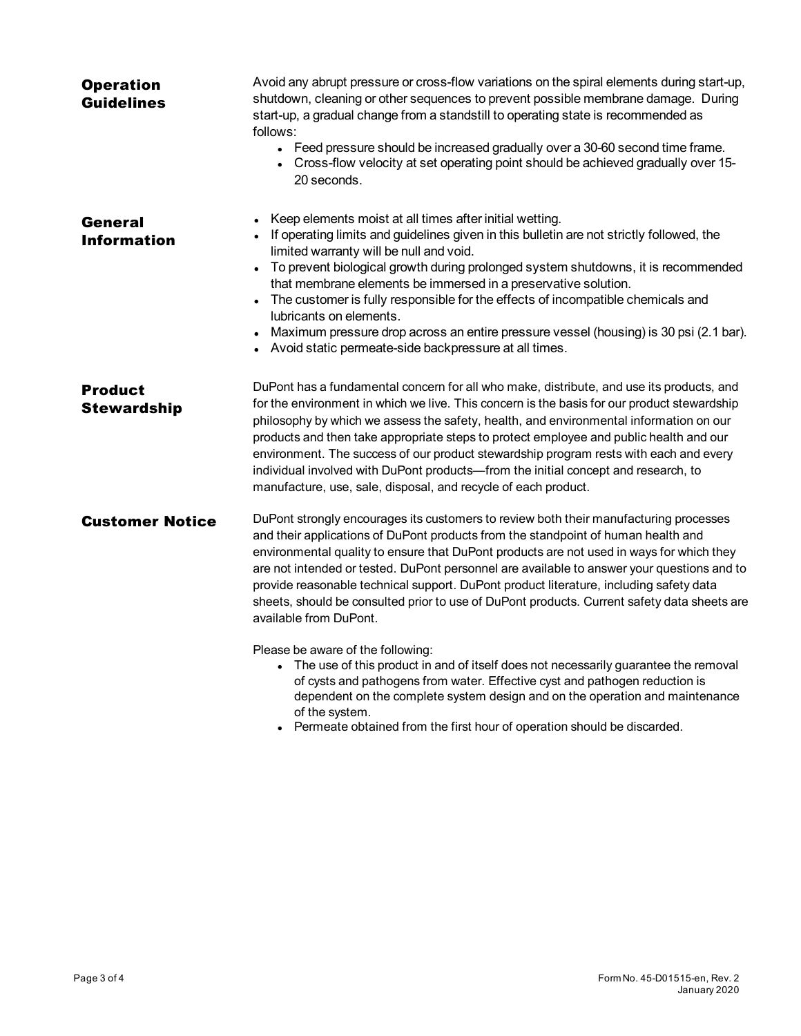| <b>Operation</b><br><b>Guidelines</b> | Avoid any abrupt pressure or cross-flow variations on the spiral elements during start-up,<br>shutdown, cleaning or other sequences to prevent possible membrane damage. During<br>start-up, a gradual change from a standstill to operating state is recommended as<br>follows:<br>• Feed pressure should be increased gradually over a 30-60 second time frame.<br>• Cross-flow velocity at set operating point should be achieved gradually over 15-<br>20 seconds.                                                                                                                                                             |
|---------------------------------------|------------------------------------------------------------------------------------------------------------------------------------------------------------------------------------------------------------------------------------------------------------------------------------------------------------------------------------------------------------------------------------------------------------------------------------------------------------------------------------------------------------------------------------------------------------------------------------------------------------------------------------|
| <b>General</b><br><b>Information</b>  | Keep elements moist at all times after initial wetting.<br>If operating limits and guidelines given in this bulletin are not strictly followed, the<br>limited warranty will be null and void.<br>To prevent biological growth during prolonged system shutdowns, it is recommended<br>$\bullet$<br>that membrane elements be immersed in a preservative solution.<br>The customer is fully responsible for the effects of incompatible chemicals and<br>lubricants on elements.<br>Maximum pressure drop across an entire pressure vessel (housing) is 30 psi (2.1 bar).<br>Avoid static permeate-side backpressure at all times. |
| <b>Product</b><br><b>Stewardship</b>  | DuPont has a fundamental concern for all who make, distribute, and use its products, and<br>for the environment in which we live. This concern is the basis for our product stewardship<br>philosophy by which we assess the safety, health, and environmental information on our<br>products and then take appropriate steps to protect employee and public health and our<br>environment. The success of our product stewardship program rests with each and every<br>individual involved with DuPont products—from the initial concept and research, to<br>manufacture, use, sale, disposal, and recycle of each product.       |
| <b>Customer Notice</b>                | DuPont strongly encourages its customers to review both their manufacturing processes<br>and their applications of DuPont products from the standpoint of human health and<br>environmental quality to ensure that DuPont products are not used in ways for which they<br>are not intended or tested. DuPont personnel are available to answer your questions and to<br>provide reasonable technical support. DuPont product literature, including safety data<br>sheets, should be consulted prior to use of DuPont products. Current safety data sheets are<br>available from DuPont.                                            |
|                                       | Please be aware of the following:<br>The use of this product in and of itself does not necessarily guarantee the removal<br>of cysts and pathogens from water. Effective cyst and pathogen reduction is<br>dependent on the complete system design and on the operation and maintenance<br>of the system.<br>Dermeete ehteined from the first hour of energtion should be discorded                                                                                                                                                                                                                                                |

• Permeate obtained from the first hour of operation should be discarded.